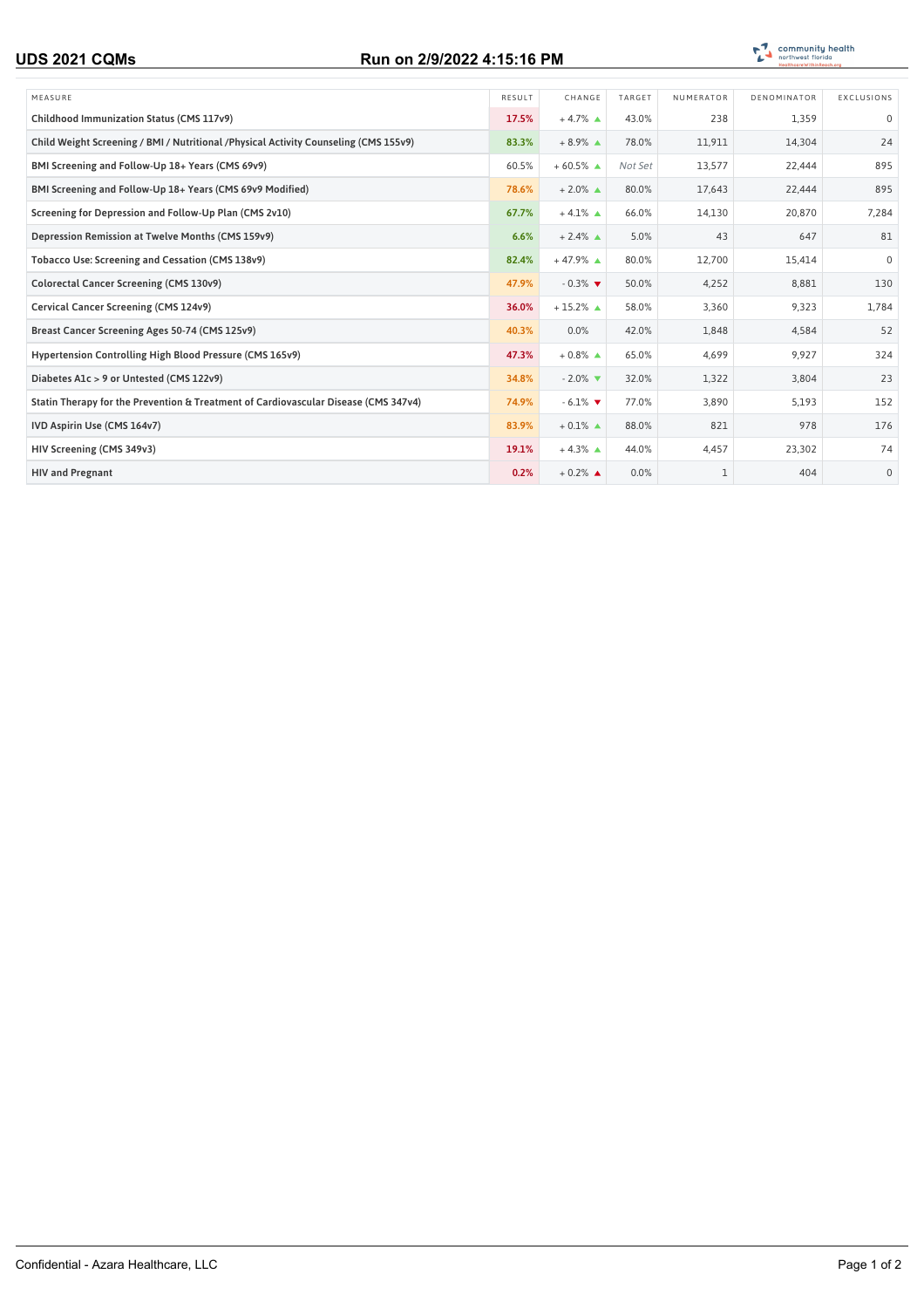## **UDS 2021 CQMs Run on 2/9/2022 4:15:16 PM**



| MEASURE                                                                               | RESULT | CHANGE                        | TARGET  | NUMERATOR | DENOMINATOR | EXCLUSIONS   |
|---------------------------------------------------------------------------------------|--------|-------------------------------|---------|-----------|-------------|--------------|
| Childhood Immunization Status (CMS 117v9)                                             | 17.5%  | $+4.7\%$ $\triangle$          | 43.0%   | 238       | 1,359       | $\mathbf 0$  |
| Child Weight Screening / BMI / Nutritional / Physical Activity Counseling (CMS 155v9) | 83.3%  | $+8.9\%$ $\triangle$          | 78.0%   | 11,911    | 14,304      | 24           |
| BMI Screening and Follow-Up 18+ Years (CMS 69v9)                                      | 60.5%  | $+60.5%$ $\triangle$          | Not Set | 13,577    | 22.444      | 895          |
| BMI Screening and Follow-Up 18+ Years (CMS 69v9 Modified)                             | 78.6%  | $+2.0\%$ $\triangle$          | 80.0%   | 17,643    | 22,444      | 895          |
| Screening for Depression and Follow-Up Plan (CMS 2v10)                                | 67.7%  | $+4.1\%$ $\triangle$          | 66.0%   | 14,130    | 20,870      | 7,284        |
| Depression Remission at Twelve Months (CMS 159v9)                                     | 6.6%   | $+2.4\%$ $\triangle$          | 5.0%    | 43        | 647         | 81           |
| Tobacco Use: Screening and Cessation (CMS 138v9)                                      | 82.4%  | $+47.9%$ $\triangle$          | 80.0%   | 12,700    | 15,414      | $\mathbf 0$  |
| Colorectal Cancer Screening (CMS 130v9)                                               | 47.9%  | $-0.3\%$                      | 50.0%   | 4,252     | 8,881       | 130          |
| Cervical Cancer Screening (CMS 124v9)                                                 | 36.0%  | $+15.2\%$ $\triangle$         | 58.0%   | 3,360     | 9,323       | 1,784        |
| Breast Cancer Screening Ages 50-74 (CMS 125v9)                                        | 40.3%  | 0.0%                          | 42.0%   | 1,848     | 4,584       | 52           |
| Hypertension Controlling High Blood Pressure (CMS 165v9)                              | 47.3%  | $+0.8\%$ $\triangle$          | 65.0%   | 4.699     | 9.927       | 324          |
| Diabetes A1c > 9 or Untested (CMS 122v9)                                              | 34.8%  | $-2.0\%$ $\blacktriangledown$ | 32.0%   | 1,322     | 3,804       | 23           |
| Statin Therapy for the Prevention & Treatment of Cardiovascular Disease (CMS 347v4)   | 74.9%  | $-6.1\%$                      | 77.0%   | 3,890     | 5,193       | 152          |
| IVD Aspirin Use (CMS 164v7)                                                           | 83.9%  | $+0.1\%$ $\triangle$          | 88.0%   | 821       | 978         | 176          |
| HIV Screening (CMS 349v3)                                                             | 19.1%  | $+4.3\%$ $\triangle$          | 44.0%   | 4,457     | 23,302      | 74           |
| <b>HIV and Pregnant</b>                                                               | 0.2%   | $+0.2\%$ $\triangle$          | 0.0%    |           | 404         | $\mathbf{0}$ |